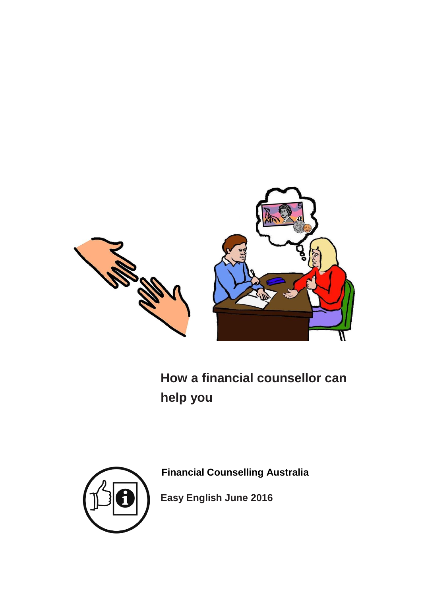

**How a financial counsellor can help you**



**Financial Counselling Australia**

**Easy English June 2016**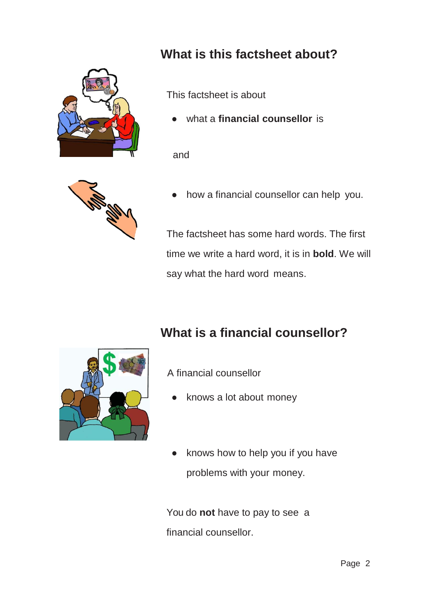

## **What is this factsheet about?**

This factsheet is about

what a **financial counsellor** is

and



how a financial counsellor can help you.

The factsheet has some hard words. The first time we write a hard word, it is in **bold**. We will say what the hard word means.

## **What is a financial counsellor?**



A financial counsellor

- knows a lot about money
- knows how to help you if you have problems with your money.

You do **not** have to pay to see a financial counsellor.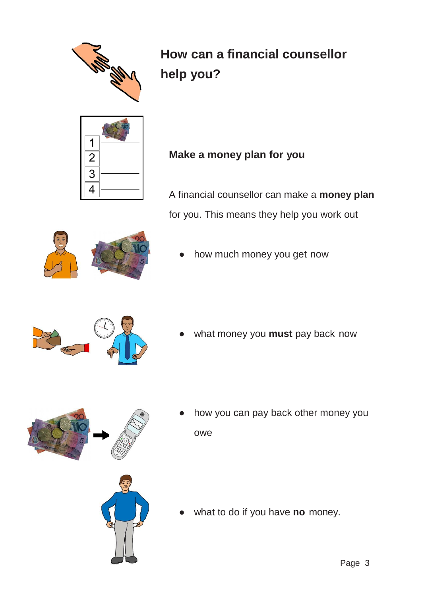

# **How can a financial counsellor help you?**



### **Make a money plan for you**

A financial counsellor can make a **money plan** for you. This means they help you work out



how much money you get now



what money you **must** pay back now



- how you can pay back other money you owe
- 
- what to do if you have **no** money.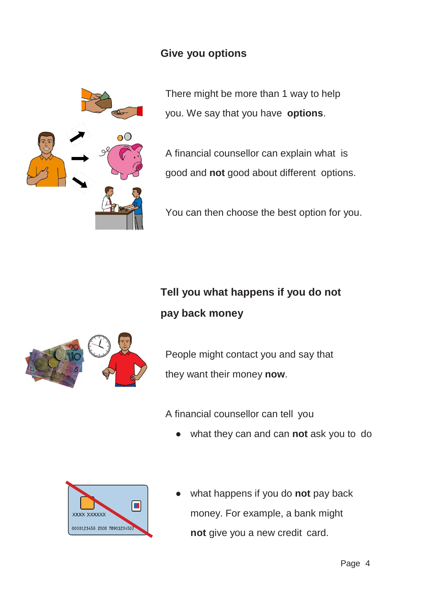#### **Give you options**



There might be more than 1 way to help you. We say that you have **options**.

A financial counsellor can explain what is good and **not** good about different options.

You can then choose the best option for you.

## **Tell you what happens if you do not pay back money**



People might contact you and say that they want their money **now**.

A financial counsellor can tell you

what they can and can **not** ask you to do



what happens if you do **not** pay back money. For example, a bank might **not** give you a new credit card.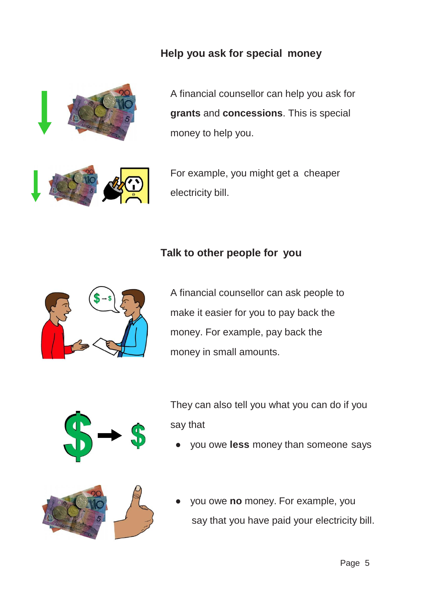#### **Help you ask for special money**



A financial counsellor can help you ask for **grants** and **concessions**. This is special money to help you.

For example, you might get a cheaper electricity bill.

#### **Talk to other people for you**



A financial counsellor can ask people to make it easier for you to pay back the money. For example, pay back the money in small amounts.



They can also tell you what you can do if you say that

you owe **less** money than someone says



you owe **no** money. For example, you say that you have paid your electricity bill.